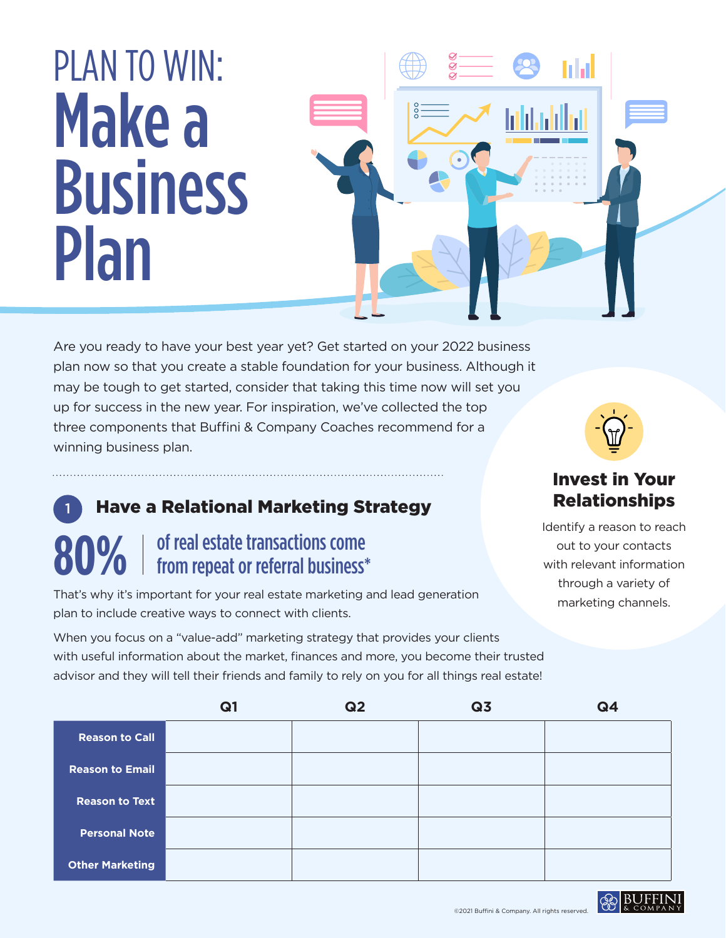# PLAN TO WIN: Make a Business Plan



Are you ready to have your best year yet? Get started on your 2022 business plan now so that you create a stable foundation for your business. Although it may be tough to get started, consider that taking this time now will set you up for success in the new year. For inspiration, we've collected the top three components that Buffini & Company Coaches recommend for a winning business plan.

#### Have a Relational Marketing Strategy 1

## 80% | of real estate transactions come<br>from repeat or referral business\*

That's why it's important for your real estate marketing and lead generation plan to include creative ways to connect with clients.

When you focus on a "value-add" marketing strategy that provides your clients with useful information about the market, finances and more, you become their trusted advisor and they will tell their friends and family to rely on you for all things real estate!



## Invest in Your Relationships

Identify a reason to reach out to your contacts with relevant information through a variety of marketing channels.

|                        | ${\bf Q}$ 1 | Q <sub>2</sub> | Q <sub>3</sub> | Q <sub>4</sub> |
|------------------------|-------------|----------------|----------------|----------------|
| <b>Reason to Call</b>  |             |                |                |                |
| <b>Reason to Email</b> |             |                |                |                |
| <b>Reason to Text</b>  |             |                |                |                |
| <b>Personal Note</b>   |             |                |                |                |
| <b>Other Marketing</b> |             |                |                |                |